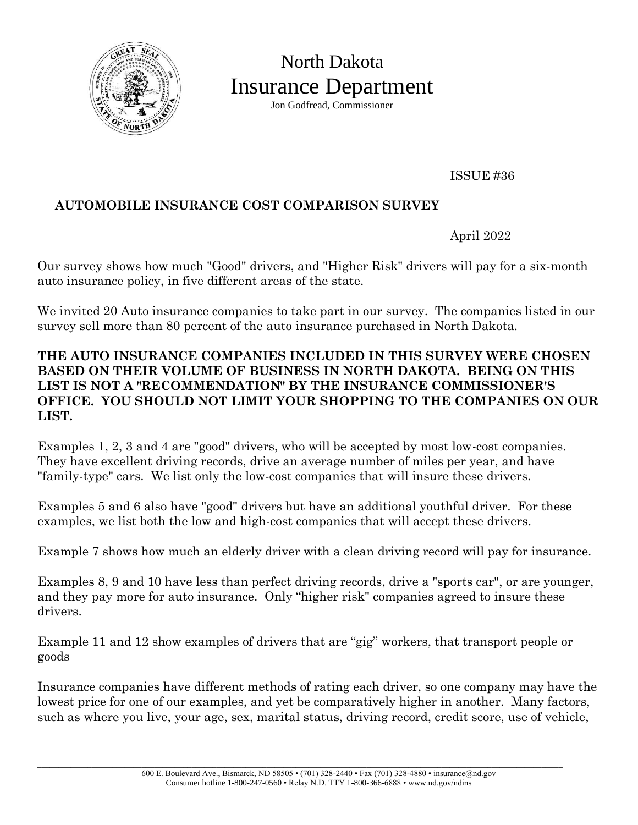

North Dakota Insurance Department Jon Godfread, Commissioner

ISSUE #36

# **AUTOMOBILE INSURANCE COST COMPARISON SURVEY**

April 2022

Our survey shows how much "Good" drivers, and "Higher Risk" drivers will pay for a six-month auto insurance policy, in five different areas of the state.

We invited 20 Auto insurance companies to take part in our survey. The companies listed in our survey sell more than 80 percent of the auto insurance purchased in North Dakota.

#### **THE AUTO INSURANCE COMPANIES INCLUDED IN THIS SURVEY WERE CHOSEN BASED ON THEIR VOLUME OF BUSINESS IN NORTH DAKOTA. BEING ON THIS LIST IS NOT A "RECOMMENDATION" BY THE INSURANCE COMMISSIONER'S OFFICE. YOU SHOULD NOT LIMIT YOUR SHOPPING TO THE COMPANIES ON OUR LIST.**

Examples 1, 2, 3 and 4 are "good" drivers, who will be accepted by most low-cost companies. They have excellent driving records, drive an average number of miles per year, and have "family-type" cars. We list only the low-cost companies that will insure these drivers.

Examples 5 and 6 also have "good" drivers but have an additional youthful driver. For these examples, we list both the low and high-cost companies that will accept these drivers.

Example 7 shows how much an elderly driver with a clean driving record will pay for insurance.

Examples 8, 9 and 10 have less than perfect driving records, drive a "sports car", or are younger, and they pay more for auto insurance. Only "higher risk" companies agreed to insure these drivers.

Example 11 and 12 show examples of drivers that are "gig" workers, that transport people or goods

Insurance companies have different methods of rating each driver, so one company may have the lowest price for one of our examples, and yet be comparatively higher in another. Many factors, such as where you live, your age, sex, marital status, driving record, credit score, use of vehicle,

\_\_\_\_\_\_\_\_\_\_\_\_\_\_\_\_\_\_\_\_\_\_\_\_\_\_\_\_\_\_\_\_\_\_\_\_\_\_\_\_\_\_\_\_\_\_\_\_\_\_\_\_\_\_\_\_\_\_\_\_\_\_\_\_\_\_\_\_\_\_\_\_\_\_\_\_\_\_\_\_\_\_\_\_\_\_\_\_\_\_\_\_\_\_\_\_\_\_\_\_\_\_\_\_\_\_\_\_\_\_\_\_\_\_\_\_\_\_\_\_\_\_\_\_\_\_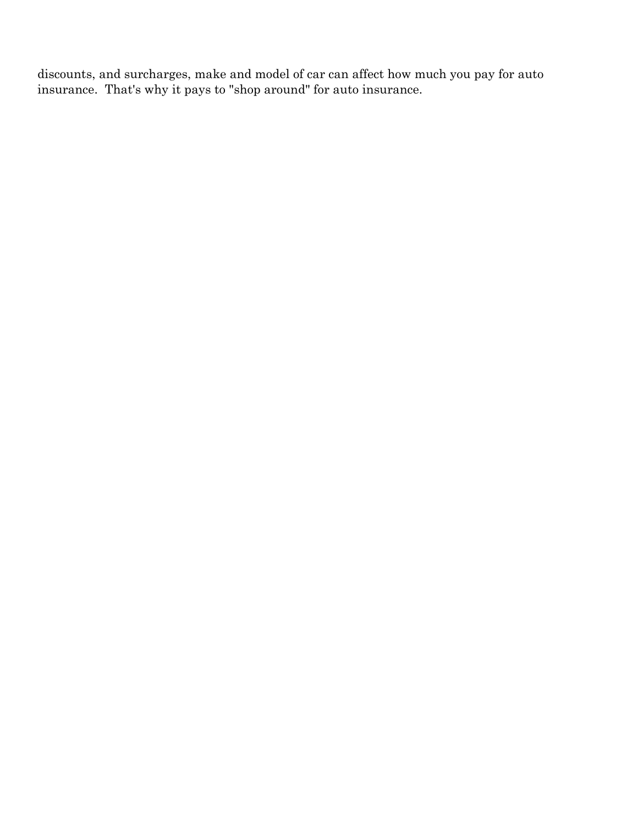discounts, and surcharges, make and model of car can affect how much you pay for auto insurance. That's why it pays to "shop around" for auto insurance.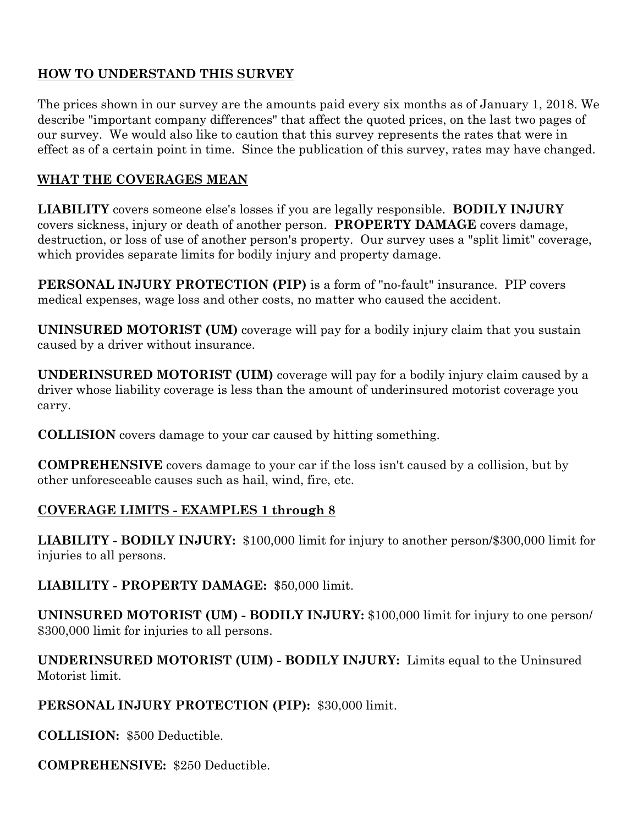# **HOW TO UNDERSTAND THIS SURVEY**

The prices shown in our survey are the amounts paid every six months as of January 1, 2018. We describe "important company differences" that affect the quoted prices, on the last two pages of our survey. We would also like to caution that this survey represents the rates that were in effect as of a certain point in time. Since the publication of this survey, rates may have changed.

# **WHAT THE COVERAGES MEAN**

**LIABILITY** covers someone else's losses if you are legally responsible. **BODILY INJURY** covers sickness, injury or death of another person. **PROPERTY DAMAGE** covers damage, destruction, or loss of use of another person's property. Our survey uses a "split limit" coverage, which provides separate limits for bodily injury and property damage.

**PERSONAL INJURY PROTECTION (PIP)** is a form of "no-fault" insurance. PIP covers medical expenses, wage loss and other costs, no matter who caused the accident.

**UNINSURED MOTORIST (UM)** coverage will pay for a bodily injury claim that you sustain caused by a driver without insurance.

**UNDERINSURED MOTORIST (UIM)** coverage will pay for a bodily injury claim caused by a driver whose liability coverage is less than the amount of underinsured motorist coverage you carry.

**COLLISION** covers damage to your car caused by hitting something.

**COMPREHENSIVE** covers damage to your car if the loss isn't caused by a collision, but by other unforeseeable causes such as hail, wind, fire, etc.

## **COVERAGE LIMITS - EXAMPLES 1 through 8**

**LIABILITY - BODILY INJURY:** \$100,000 limit for injury to another person/\$300,000 limit for injuries to all persons.

**LIABILITY - PROPERTY DAMAGE:** \$50,000 limit.

**UNINSURED MOTORIST (UM) - BODILY INJURY:** \$100,000 limit for injury to one person/ \$300,000 limit for injuries to all persons.

## **UNDERINSURED MOTORIST (UIM) - BODILY INJURY:** Limits equal to the Uninsured Motorist limit.

## **PERSONAL INJURY PROTECTION (PIP):** \$30,000 limit.

**COLLISION:** \$500 Deductible.

**COMPREHENSIVE:** \$250 Deductible.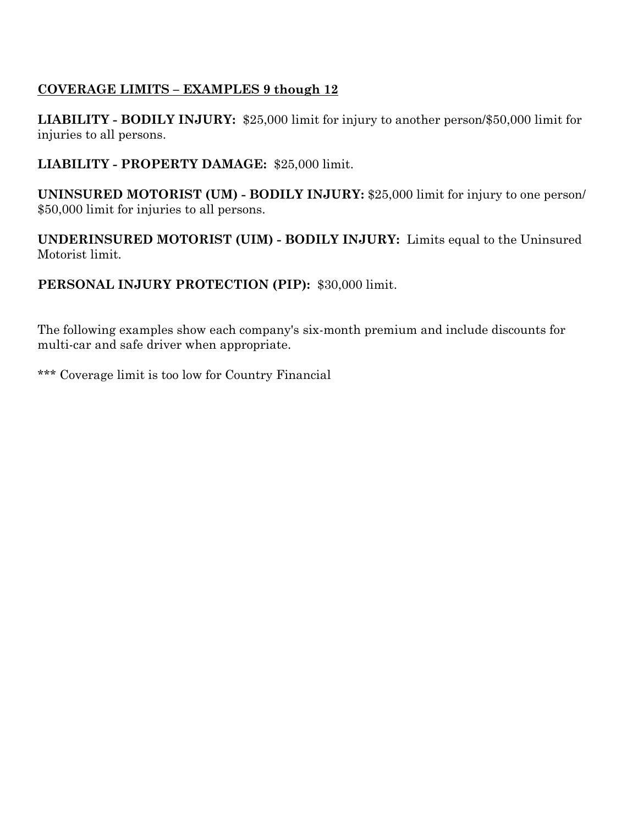# **COVERAGE LIMITS – EXAMPLES 9 though 12**

**LIABILITY - BODILY INJURY:** \$25,000 limit for injury to another person/\$50,000 limit for injuries to all persons.

## **LIABILITY - PROPERTY DAMAGE:** \$25,000 limit.

**UNINSURED MOTORIST (UM) - BODILY INJURY:** \$25,000 limit for injury to one person/ \$50,000 limit for injuries to all persons.

**UNDERINSURED MOTORIST (UIM) - BODILY INJURY:** Limits equal to the Uninsured Motorist limit.

## **PERSONAL INJURY PROTECTION (PIP):** \$30,000 limit.

The following examples show each company's six-month premium and include discounts for multi-car and safe driver when appropriate.

\*\*\* Coverage limit is too low for Country Financial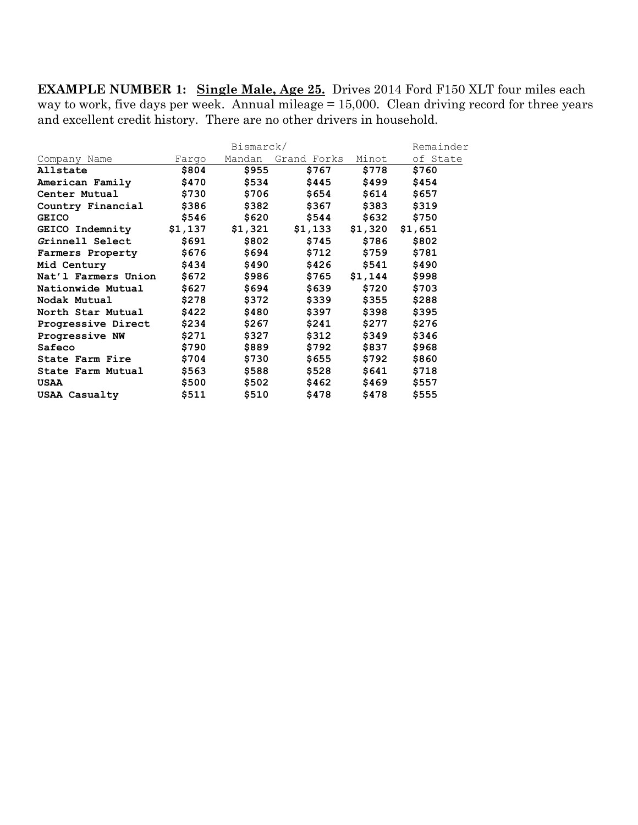**EXAMPLE NUMBER 1: Single Male, Age 25.** Drives 2014 Ford F150 XLT four miles each way to work, five days per week. Annual mileage = 15,000. Clean driving record for three years and excellent credit history. There are no other drivers in household.

|                     |         | Remainder |                   |         |          |
|---------------------|---------|-----------|-------------------|---------|----------|
| Company Name        | Fargo   | Mandan    | Grand Forks Minot |         | of State |
| Allstate            | \$804   | \$955     | \$767             | \$778   | \$760    |
| American Family     | \$470   | \$534     | \$445             | \$499   | \$454    |
| Center Mutual       | \$730   | \$706     | \$654             | \$614   | \$657    |
| Country Financial   | \$386   | \$382     | \$367             | \$383   | \$319    |
| <b>GEICO</b>        | \$546   | \$620     | \$544             | \$632   | \$750    |
| GEICO Indemnity     | \$1,137 | \$1,321   | \$1,133           | \$1,320 | \$1,651  |
| Grinnell Select     | \$691   | \$802     | \$745             | \$786   | \$802    |
| Farmers Property    | \$676   | \$694     | \$712             | \$759   | \$781    |
| Mid Century         | \$434   | \$490     | \$426             | \$541   | \$490    |
| Nat'l Farmers Union | \$672   | \$986     | \$765             | \$1,144 | \$998    |
| Nationwide Mutual   | \$627   | \$694     | \$639             | \$720   | \$703    |
| Nodak Mutual        | \$278   | \$372     | \$339             | \$355   | \$288    |
| North Star Mutual   | \$422   | \$480     | \$397             | \$398   | \$395    |
| Progressive Direct  | \$234   | \$267     | \$241             | \$277   | \$276    |
| Progressive NW      | \$271   | \$327     | \$312             | \$349   | \$346    |
| Safeco              | \$790   | \$889     | \$792             | \$837   | \$968    |
| State Farm Fire     | \$704   | \$730     | \$655             | \$792   | \$860    |
| State Farm Mutual   | \$563   | \$588     | \$528             | \$641   | \$718    |
| USAA                | \$500   | \$502     | \$462             | \$469   | \$557    |
| USAA Casualty       | \$511   | \$510     | \$478             | \$478   | \$555    |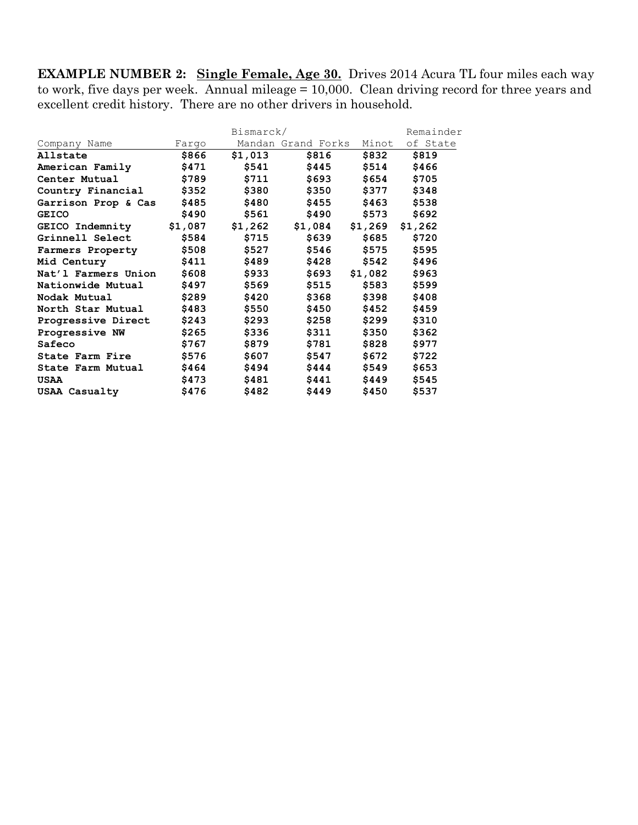**EXAMPLE NUMBER 2: Single Female, Age 30.** Drives 2014 Acura TL four miles each way to work, five days per week. Annual mileage = 10,000. Clean driving record for three years and excellent credit history. There are no other drivers in household.

|                     |         | Bismarck/ |                    |         | Remainder |
|---------------------|---------|-----------|--------------------|---------|-----------|
| Company Name        | Fargo   |           | Mandan Grand Forks | Minot   | of State  |
| Allstate            | \$866   | \$1,013   | \$816              | \$832   | \$819     |
| American Family     | \$471   | \$541     | \$445              | \$514   | \$466     |
| Center Mutual       | \$789   | \$711     | \$693              | \$654   | \$705     |
| Country Financial   | \$352   | \$380     | \$350              | \$377   | \$348     |
| Garrison Prop & Cas | \$485   | \$480     | \$455              | \$463   | \$538     |
| <b>GEICO</b>        | \$490   | \$561     | \$490              | \$573   | \$692     |
| GEICO Indemnity     | \$1,087 | \$1,262   | \$1,084            | \$1,269 | \$1,262   |
| Grinnell Select     | \$584   | \$715     | \$639              | \$685   | \$720     |
| Farmers Property    | \$508   | \$527     | \$546              | \$575   | \$595     |
| Mid Century         | \$411   | \$489     | \$428              | \$542   | \$496     |
| Nat'l Farmers Union | \$608   | \$933     | \$693              | \$1,082 | \$963     |
| Nationwide Mutual   | \$497   | \$569     | \$515              | \$583   | \$599     |
| Nodak Mutual        | \$289   | \$420     | \$368              | \$398   | \$408     |
| North Star Mutual   | \$483   | \$550     | \$450              | \$452   | \$459     |
| Progressive Direct  | \$243   | \$293     | \$258              | \$299   | \$310     |
| Progressive NW      | \$265   | \$336     | \$311              | \$350   | \$362     |
| Safeco              | \$767   | \$879     | \$781              | \$828   | \$977     |
| State Farm Fire     | \$576   | \$607     | \$547              | \$672   | \$722     |
| State Farm Mutual   | \$464   | \$494     | \$444              | \$549   | \$653     |
| USAA                | \$473   | \$481     | \$441              | \$449   | \$545     |
| USAA Casualty       | \$476   | \$482     | \$449              | \$450   | \$537     |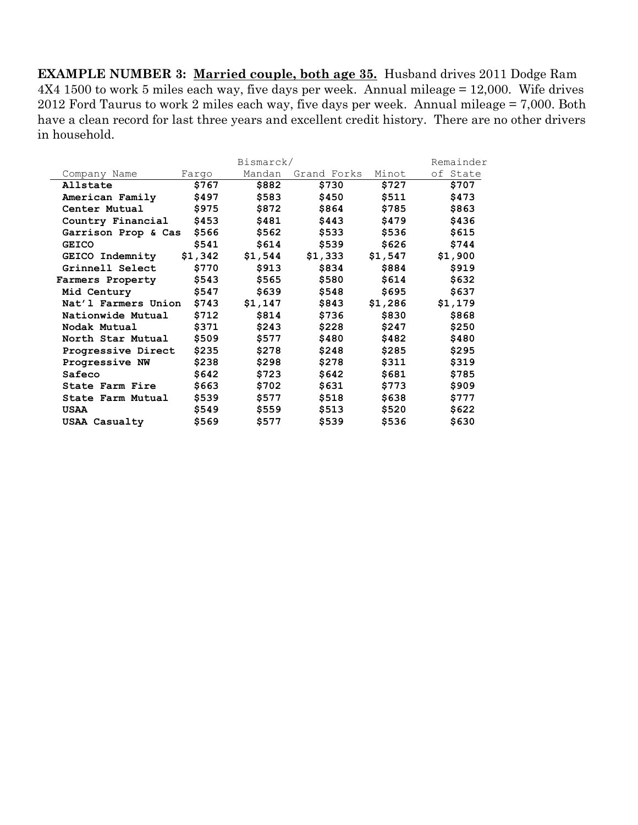**EXAMPLE NUMBER 3: Married couple, both age 35.** Husband drives 2011 Dodge Ram 4X4 1500 to work 5 miles each way, five days per week. Annual mileage = 12,000. Wife drives 2012 Ford Taurus to work 2 miles each way, five days per week. Annual mileage = 7,000. Both have a clean record for last three years and excellent credit history. There are no other drivers in household.

|                        |         | Bismarck/ |             |         | Remainder |
|------------------------|---------|-----------|-------------|---------|-----------|
| Company Name           | Fargo   | Mandan    | Grand Forks | Minot   | of State  |
| Allstate               | \$767   | \$882     | \$730       | \$727   | \$707     |
| American Family        | \$497   | \$583     | \$450       | \$511   | \$473     |
| Center Mutual          | \$975   | \$872     | \$864       | \$785   | \$863     |
| Country Financial      | \$453   | \$481     | \$443       | \$479   | \$436     |
| Garrison Prop & Cas    | \$566   | \$562     | \$533       | \$536   | \$615     |
| <b>GEICO</b>           | \$541   | \$614     | \$539       | \$626   | \$744     |
| <b>GEICO Indemnity</b> | \$1,342 | \$1,544   | \$1,333     | \$1,547 | \$1,900   |
| Grinnell Select        | \$770   | \$913     | \$834       | \$884   | \$919     |
| Farmers Property       | \$543   | \$565     | \$580       | \$614   | \$632     |
| Mid Century            | \$547   | \$639     | \$548       | \$695   | \$637     |
| Nat'l Farmers Union    | \$743   | \$1,147   | \$843       | \$1,286 | \$1,179   |
| Nationwide Mutual      | \$712   | \$814     | \$736       | \$830   | \$868     |
| Nodak Mutual           | \$371   | \$243     | \$228       | \$247   | \$250     |
| North Star Mutual      | \$509   | \$577     | \$480       | \$482   | \$480     |
| Progressive Direct     | \$235   | \$278     | \$248       | \$285   | \$295     |
| Progressive NW         | \$238   | \$298     | \$278       | \$311   | \$319     |
| Safeco                 | \$642   | \$723     | \$642       | \$681   | \$785     |
| State Farm Fire        | \$663   | \$702     | \$631       | \$773   | \$909     |
| State Farm Mutual      | \$539   | \$577     | \$518       | \$638   | \$777     |
| USAA                   | \$549   | \$559     | \$513       | \$520   | \$622     |
| USAA Casualty          | \$569   | \$577     | \$539       | \$536   | \$630     |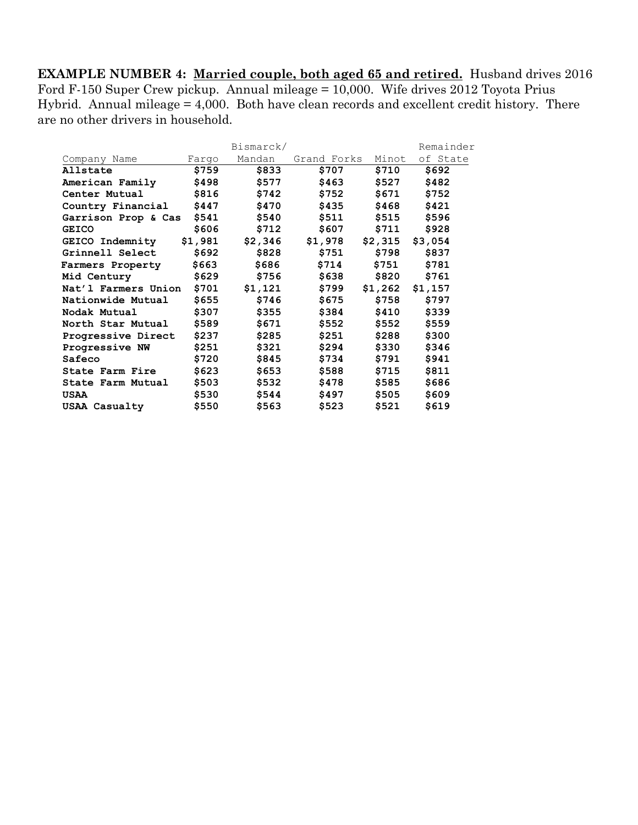**EXAMPLE NUMBER 4: Married couple, both aged 65 and retired.** Husband drives 2016 Ford F-150 Super Crew pickup. Annual mileage = 10,000. Wife drives 2012 Toyota Prius Hybrid. Annual mileage = 4,000. Both have clean records and excellent credit history. There are no other drivers in household.

|                        |         | Bismarck/ |             |                   | Remainder |
|------------------------|---------|-----------|-------------|-------------------|-----------|
| Company Name           | Fargo   | Mandan    | Grand Forks | Minot             | of State  |
| Allstate               | \$759   | \$833     | \$707       | \$710             | \$692     |
| American Family        | \$498   | \$577     | \$463       | \$527             | \$482     |
| Center Mutual          | \$816   | \$742     | \$752       | \$671             | \$752     |
| Country Financial      | \$447   | \$470     | \$435       | \$468             | \$421     |
| Garrison Prop & Cas    | \$541   | \$540     | \$511       | \$515             | \$596     |
| <b>GEICO</b>           | \$606   | \$712     | \$607       | \$711             | \$928     |
| <b>GEICO Indemnity</b> | \$1,981 | \$2,346   | \$1,978     | $$2,315$ $$3,054$ |           |
| Grinnell Select        | \$692   | \$828     | \$751       | \$798             | \$837     |
| Farmers Property       | \$663   | \$686     | \$714       | \$751             | \$781     |
| Mid Century            | \$629   | \$756     | \$638       | \$820             | \$761     |
| Nat'l Farmers Union    | \$701   | \$1,121   | \$799       | \$1,262           | \$1,157   |
| Nationwide Mutual      | \$655   | \$746     | \$675       | \$758             | \$797     |
| Nodak Mutual           | \$307   | \$355     | \$384       | \$410             | \$339     |
| North Star Mutual      | \$589   | \$671     | \$552       | \$552             | \$559     |
| Progressive Direct     | \$237   | \$285     | \$251       | \$288             | \$300     |
| Progressive NW         | \$251   | \$321     | \$294       | \$330             | \$346     |
| Safeco                 | \$720   | \$845     | \$734       | \$791             | \$941     |
| State Farm Fire        | \$623   | \$653     | \$588       | \$715             | \$811     |
| State Farm Mutual      | \$503   | \$532     | \$478       | \$585             | \$686     |
| USAA                   | \$530   | \$544     | \$497       | \$505             | \$609     |
| USAA Casualty          | \$550   | \$563     | \$523       | \$521             | \$619     |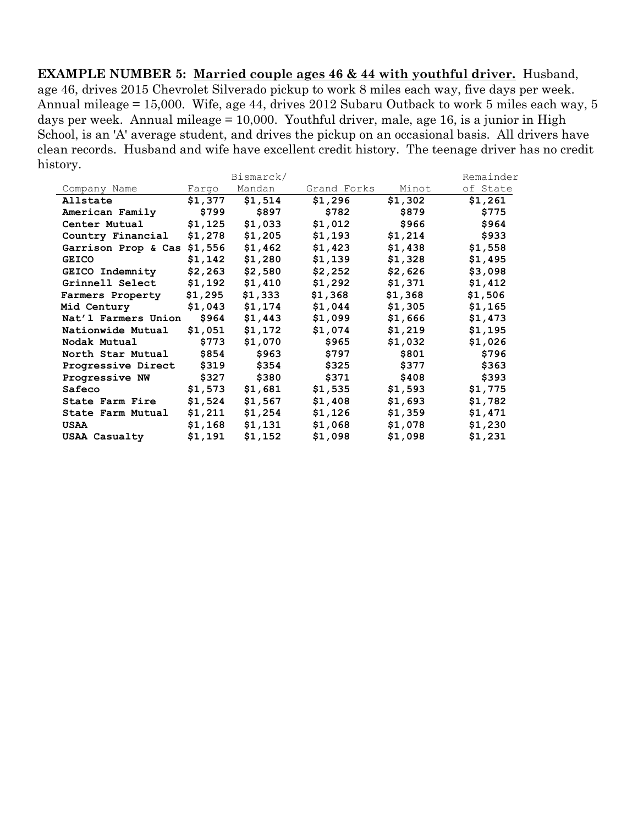**EXAMPLE NUMBER 5: Married couple ages 46 & 44 with youthful driver.** Husband, age 46, drives 2015 Chevrolet Silverado pickup to work 8 miles each way, five days per week. Annual mileage = 15,000. Wife, age 44, drives 2012 Subaru Outback to work 5 miles each way, 5 days per week. Annual mileage = 10,000. Youthful driver, male, age 16, is a junior in High School, is an 'A' average student, and drives the pickup on an occasional basis. All drivers have clean records. Husband and wife have excellent credit history. The teenage driver has no credit history.

|                             |         | Bismarck/ |             |         | Remainder |
|-----------------------------|---------|-----------|-------------|---------|-----------|
| Company Name                | Fargo   | Mandan    | Grand Forks | Minot   | of State  |
| Allstate                    | \$1,377 | \$1,514   | \$1,296     | \$1,302 | \$1,261   |
| American Family             | \$799   | \$897     | \$782       | \$879   | \$775     |
| Center Mutual               | \$1,125 | \$1,033   | \$1,012     | \$966   | \$964     |
| Country Financial           | \$1,278 | \$1,205   | \$1,193     | \$1,214 | \$933     |
| Garrison Prop & Cas \$1,556 |         | \$1,462   | \$1,423     | \$1,438 | \$1,558   |
| <b>GEICO</b>                | \$1,142 | \$1,280   | \$1,139     | \$1,328 | \$1,495   |
| GEICO Indemnity             | \$2,263 | \$2,580   | \$2,252     | \$2,626 | \$3,098   |
| Grinnell Select             | \$1,192 | \$1,410   | \$1,292     | \$1,371 | \$1,412   |
| Farmers Property            | \$1,295 | \$1,333   | \$1,368     | \$1,368 | \$1,506   |
| Mid Century                 | \$1,043 | \$1,174   | \$1,044     | \$1,305 | \$1,165   |
| Nat'l Farmers Union         | \$964   | \$1,443   | \$1,099     | \$1,666 | \$1,473   |
| Nationwide Mutual           | \$1,051 | \$1,172   | \$1,074     | \$1,219 | \$1,195   |
| Nodak Mutual                | \$773   | \$1,070   | \$965       | \$1,032 | \$1,026   |
| North Star Mutual           | \$854   | \$963     | \$797       | \$801   | \$796     |
| Progressive Direct          | \$319   | \$354     | \$325       | \$377   | \$363     |
| Progressive NW              | \$327   | \$380     | \$371       | \$408   | \$393     |
| Safeco                      | \$1,573 | \$1,681   | \$1,535     | \$1,593 | \$1,775   |
| State Farm Fire             | \$1,524 | \$1,567   | \$1,408     | \$1,693 | \$1,782   |
| State Farm Mutual           | \$1,211 | \$1,254   | \$1,126     | \$1,359 | \$1,471   |
| USAA                        | \$1,168 | \$1,131   | \$1,068     | \$1,078 | \$1,230   |
| <b>USAA Casualty</b>        | \$1,191 | \$1,152   | \$1,098     | \$1,098 | \$1,231   |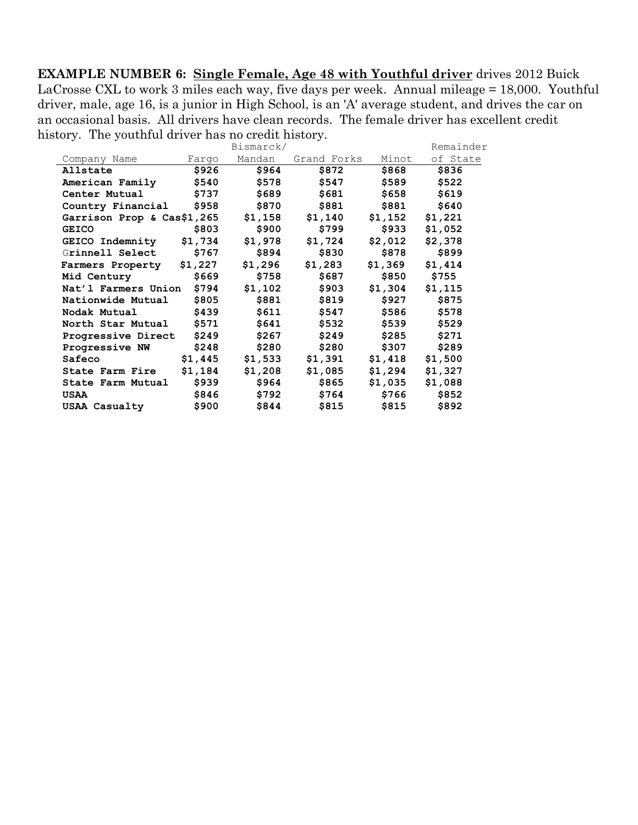**EXAMPLE NUMBER 6: Single Female, Age 48 with Youthful driver** drives 2012 Buick LaCrosse CXL to work 3 miles each way, five days per week. Annual mileage = 18,000. Youthful driver, male, age 16, is a junior in High School, is an 'A' average student, and drives the car on an occasional basis. All drivers have clean records. The female driver has excellent credit history. The youthful driver has no credit history.

|                            |         | Bismarck/ |             |           | Remainder |
|----------------------------|---------|-----------|-------------|-----------|-----------|
| Company Name               | Farqo   | Mandan    | Grand Forks | Minot     | of State  |
| Allstate                   | \$926   | \$964     | \$872       | \$868     | \$836     |
| American Family            | \$540   | \$578     | \$547       | \$589     | \$522     |
| Center Mutual              | \$737   | \$689     | \$681       | \$658     | \$619     |
| Country Financial          | \$958   | \$870     | \$881       | \$881     | \$640     |
| Garrison Prop & Cas\$1,265 |         | \$1,158   | \$1,140     | \$1,152   | \$1,221   |
| <b>GEICO</b>               | \$803   | \$900     | \$799       | \$933     | \$1,052   |
| <b>GEICO Indemnity</b>     | \$1,734 | \$1,978   | \$1,724     | \$2,012   | \$2,378   |
| Grinnell Select            | \$767   | \$894     | \$830       | \$878     | \$899     |
| Farmers Property \$1,227   |         | \$1,296   | \$1,283     | \$1,369   | \$1,414   |
| Mid Century                | \$669   | \$758     | \$687       | \$850     | \$755     |
| Nat'l Farmers Union        | \$794   | \$1,102   | \$903       | \$1,304   | \$1,115   |
| Nationwide Mutual          | \$805   | \$881     | \$819       | \$927     | \$875     |
| Nodak Mutual               | \$439   | \$611     | \$547       | \$586 700 | \$578     |
| North Star Mutual          | \$571   | \$641     | \$532       | \$539     | \$529     |
| Progressive Direct         | \$249   | \$267     | \$249       | \$285     | \$271     |
| Progressive NW             | \$248   | \$280     | \$280       | \$307     | \$289     |
| Safeco                     | \$1,445 | \$1,533   | \$1,391     | \$1,418   | \$1,500   |
| State Farm Fire            | \$1,184 | \$1,208   | \$1,085     | \$1,294   | \$1,327   |
| State Farm Mutual          | \$939   | \$964     | \$865       | \$1,035   | \$1,088   |
| <b>USAA</b>                | \$846   | \$792     | \$764       | \$766     | \$852     |
| USAA Casualty              | \$900   | \$844     | \$815       | \$815     | \$892     |
|                            |         |           |             |           |           |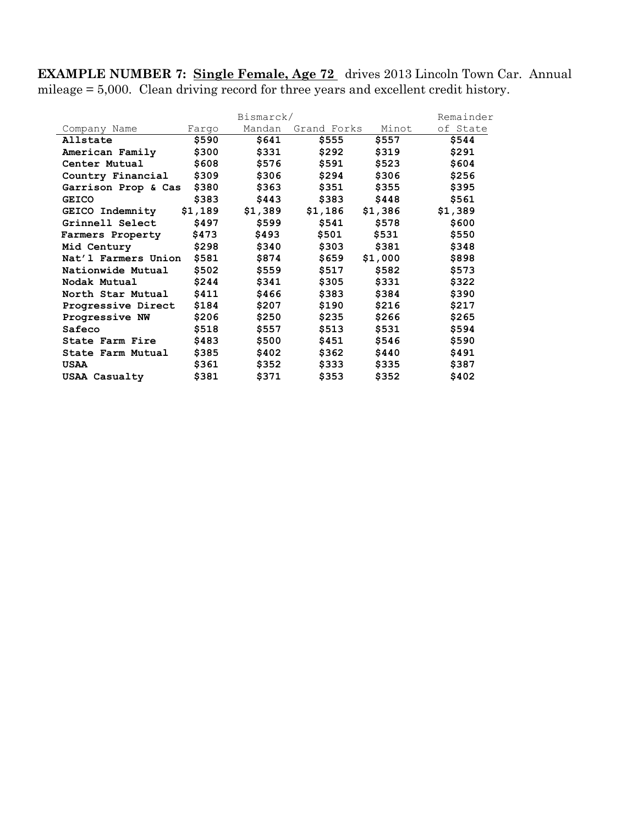**EXAMPLE NUMBER 7: Single Female, Age 72** drives 2013 Lincoln Town Car. Annual mileage = 5,000. Clean driving record for three years and excellent credit history.

| Bismarck/              |         |         |             |         |          |
|------------------------|---------|---------|-------------|---------|----------|
| Company Name           | Fargo   | Mandan  | Grand Forks | Minot   | of State |
| Allstate               | \$590   | \$641   | \$555       | \$557   | \$544    |
| American Family        | \$300   | \$331   | \$292       | \$319   | \$291    |
| Center Mutual          | \$608   | \$576   | \$591       | \$523   | \$604    |
| Country Financial      | \$309   | \$306   | \$294       | \$306   | \$256    |
| Garrison Prop & Cas    | \$380   | \$363   | \$351       | \$355   | \$395    |
| <b>GEICO</b>           | \$383   | \$443   | \$383       | \$448   | \$561    |
| <b>GEICO Indemnity</b> | \$1,189 | \$1,389 | \$1,186     | \$1,386 | \$1,389  |
| Grinnell Select        | \$497   | \$599   | \$541       | \$578   | \$600    |
| Farmers Property       | \$473   | \$493   | \$501       | \$531   | \$550    |
| Mid Century            | \$298   | \$340   | \$303       | \$381   | \$348    |
| Nat'l Farmers Union    | \$581   | \$874   | \$659       | \$1,000 | \$898    |
| Nationwide Mutual      | \$502   | \$559   | \$517       | \$582   | \$573    |
| Nodak Mutual           | \$244   | \$341   | \$305       | \$331   | \$322    |
| North Star Mutual      | \$411   | \$466   | \$383       | \$384   | \$390    |
| Progressive Direct     | \$184   | \$207   | \$190       | \$216   | \$217    |
| Progressive NW         | \$206   | \$250   | \$235       | \$266   | \$265    |
| Safeco                 | \$518   | \$557   | \$513       | \$531   | \$594    |
| State Farm Fire        | \$483   | \$500   | \$451       | \$546   | \$590    |
| State Farm Mutual      | \$385   | \$402   | \$362       | \$440   | \$491    |
| USAA                   | \$361   | \$352   | \$333       | \$335   | \$387    |
| <b>USAA Casualty</b>   | \$381   | \$371   | \$353       | \$352   | \$402    |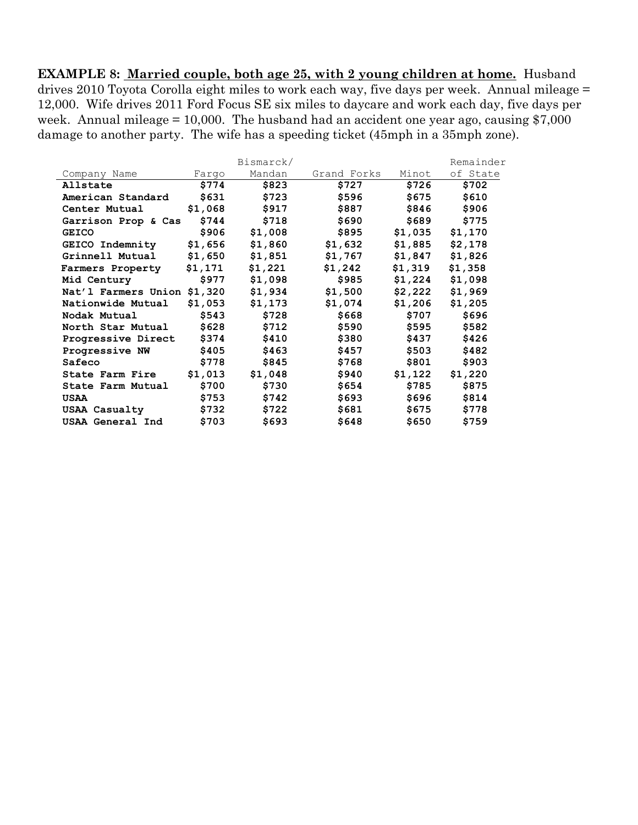**EXAMPLE 8: Married couple, both age 25, with 2 young children at home.** Husband drives 2010 Toyota Corolla eight miles to work each way, five days per week. Annual mileage = 12,000. Wife drives 2011 Ford Focus SE six miles to daycare and work each day, five days per week. Annual mileage  $= 10,000$ . The husband had an accident one year ago, causing \$7,000 damage to another party. The wife has a speeding ticket (45mph in a 35mph zone).

|                             |         | Bismarck/ |             |         | Remainder |
|-----------------------------|---------|-----------|-------------|---------|-----------|
| Company Name                | Farqo   | Mandan    | Grand Forks | Minot   | of State  |
| Allstate                    | \$774   | \$823     | \$727       | \$726   | \$702     |
| American Standard           | \$631   | \$723     | \$596       | \$675   | \$610     |
| Center Mutual               | \$1,068 | \$917     | \$887       | \$846   | \$906     |
| Garrison Prop & Cas         | \$744   | \$718     | \$690       | \$689   | \$775     |
| <b>GEICO</b>                | \$906   | \$1,008   | \$895       | \$1,035 | \$1,170   |
| <b>GEICO Indemnity</b>      | \$1,656 | \$1,860   | \$1,632     | \$1,885 | \$2,178   |
| Grinnell Mutual             | \$1,650 | \$1,851   | \$1,767     | \$1,847 | \$1,826   |
| Farmers Property            | \$1,171 | \$1,221   | \$1,242     | \$1,319 | \$1,358   |
| Mid Century                 | \$977   | \$1,098   | \$985       | \$1,224 | \$1,098   |
| Nat'l Farmers Union \$1,320 |         | \$1,934   | \$1,500     | \$2,222 | \$1,969   |
| Nationwide Mutual           | \$1,053 | \$1,173   | \$1,074     | \$1,206 | \$1,205   |
| Nodak Mutual                | \$543   | \$728     | \$668       | \$707   | \$696     |
| North Star Mutual           | \$628   | \$712     | \$590       | \$595   | \$582     |
| Progressive Direct          | \$374   | \$410     | \$380       | \$437   | \$426     |
| Progressive NW              | \$405   | \$463     | \$457       | \$503   | \$482     |
| Safeco                      | \$778   | \$845     | \$768       | \$801   | \$903     |
| State Farm Fire             | \$1,013 | \$1,048   | \$940       | \$1,122 | \$1,220   |
| State Farm Mutual           | \$700   | \$730     | \$654       | \$785   | \$875     |
| USAA                        | \$753   | \$742     | \$693       | \$696   | \$814     |
| USAA Casualty               | \$732   | \$722     | \$681       | \$675   | \$778     |
| USAA General Ind            | \$703   | \$693     | \$648       | \$650   | \$759     |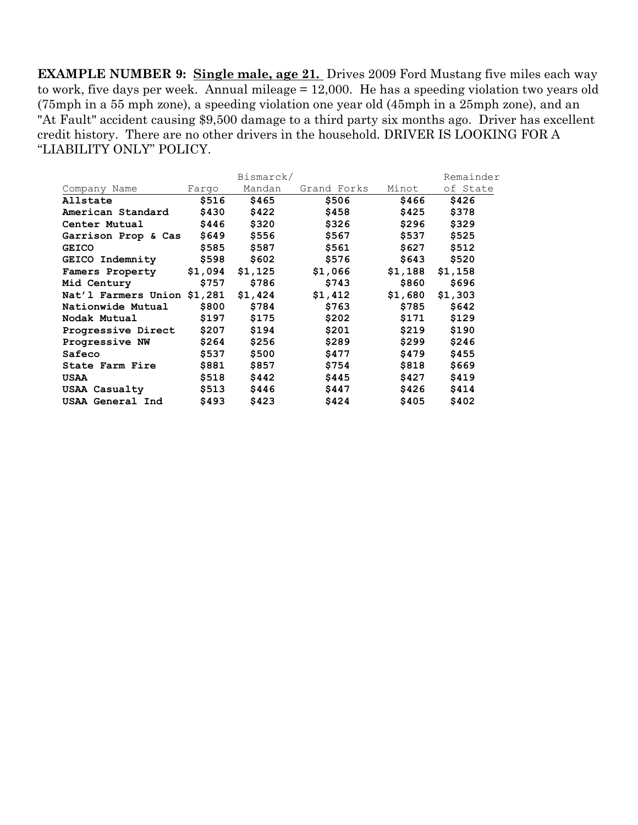**EXAMPLE NUMBER 9: Single male, age 21.** Drives 2009 Ford Mustang five miles each way to work, five days per week. Annual mileage = 12,000. He has a speeding violation two years old (75mph in a 55 mph zone), a speeding violation one year old (45mph in a 25mph zone), and an "At Fault" accident causing \$9,500 damage to a third party six months ago. Driver has excellent credit history. There are no other drivers in the household. DRIVER IS LOOKING FOR A "LIABILITY ONLY" POLICY.

|                             |       | Bismarck/ | Remainder   |       |                   |
|-----------------------------|-------|-----------|-------------|-------|-------------------|
| Company Name                | Farqo | Mandan    | Grand Forks | Minot | of State          |
| Allstate                    | \$516 | \$465     | \$506       | \$466 | \$426             |
| American Standard           | \$430 | \$422     | \$458       | \$425 | \$378             |
| Center Mutual               | \$446 | \$320     | \$326       | \$296 | \$329             |
| Garrison Prop & Cas         | \$649 | \$556     | \$567       | \$537 | \$525             |
| <b>GEICO</b>                | \$585 | \$587     | \$561       | \$627 | \$512             |
| <b>GEICO Indemnity</b>      | \$598 | \$602     | \$576       | \$643 | \$520             |
| Famers Property \$1,094     |       | \$1,125   | \$1,066     |       | $$1,188$ $$1,158$ |
| Mid Century                 | \$757 | \$786     | \$743       | \$860 | \$696             |
| Nat'l Farmers Union \$1,281 |       | \$1,424   | \$1,412     |       | $$1,680$ $$1,303$ |
| Nationwide Mutual           | \$800 | \$784     | \$763       | \$785 | \$642             |
| Nodak Mutual                | \$197 | \$175     | \$202       | \$171 | \$129             |
| Progressive Direct          | \$207 | \$194     | \$201       | \$219 | \$190             |
| Progressive NW              | \$264 | \$256     | \$289       | \$299 | \$246             |
| Safeco                      | \$537 | \$500     | \$477       | \$479 | \$455             |
| State Farm Fire             | \$881 | \$857     | \$754       | \$818 | \$669             |
| USAA                        | \$518 | \$442     | \$445       | \$427 | \$419             |
| USAA Casualty               | \$513 | \$446     | \$447       | \$426 | \$414             |
| USAA General Ind            | \$493 | \$423     | \$424       | \$405 | \$402             |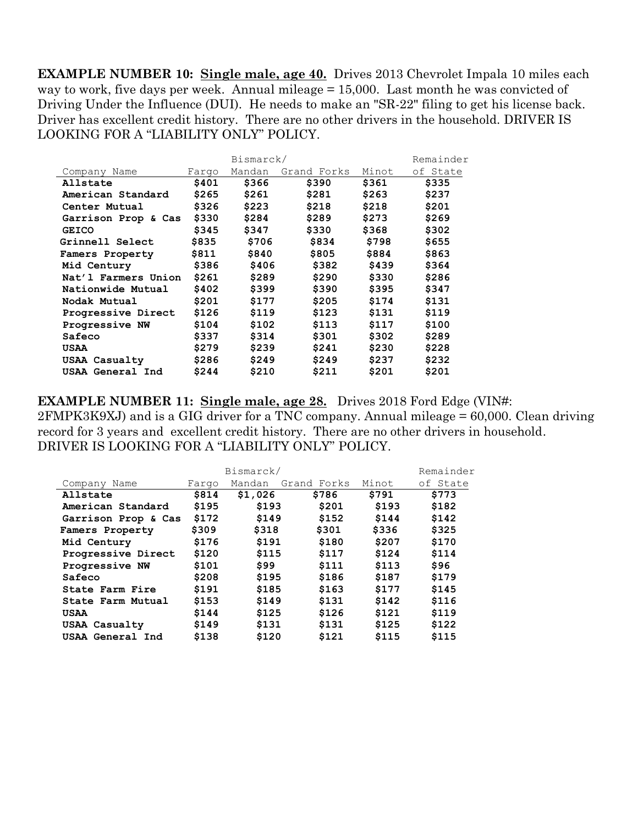**EXAMPLE NUMBER 10: Single male, age 40.** Drives 2013 Chevrolet Impala 10 miles each way to work, five days per week. Annual mileage = 15,000. Last month he was convicted of Driving Under the Influence (DUI). He needs to make an "SR-22" filing to get his license back. Driver has excellent credit history. There are no other drivers in the household. DRIVER IS LOOKING FOR A "LIABILITY ONLY" POLICY.

|                     |       | Remainder |             |       |          |
|---------------------|-------|-----------|-------------|-------|----------|
| Company Name        | Fargo | Mandan    | Grand Forks | Minot | of State |
| Allstate            | \$401 | \$366     | \$390       | \$361 | \$335    |
| American Standard   | \$265 | \$261     | \$281       | \$263 | \$237    |
| Center Mutual       | \$326 | \$223     | \$218       | \$218 | \$201    |
| Garrison Prop & Cas | \$330 | \$284     | \$289       | \$273 | \$269    |
| <b>GEICO</b>        | \$345 | \$347     | \$330       | \$368 | \$302    |
| Grinnell Select     | \$835 | \$706     | \$834       | \$798 | \$655    |
| Famers Property     | \$811 | \$840     | \$805       | \$884 | \$863    |
| Mid Century         | \$386 | \$406     | \$382       | \$439 | \$364    |
| Nat'l Farmers Union | \$261 | \$289     | \$290       | \$330 | \$286    |
| Nationwide Mutual   | \$402 | \$399     | \$390       | \$395 | \$347    |
| Nodak Mutual        | \$201 | \$177     | \$205       | \$174 | \$131    |
| Progressive Direct  | \$126 | \$119     | \$123       | \$131 | \$119    |
| Progressive NW      | \$104 | \$102     | \$113       | \$117 | \$100    |
| Safeco              | \$337 | \$314     | \$301       | \$302 | \$289    |
| USAA                | \$279 | \$239     | \$241       | \$230 | \$228    |
| USAA Casualty       | \$286 | \$249     | \$249       | \$237 | \$232    |
| USAA General Ind    | \$244 | \$210     | \$211       | \$201 | \$201    |

**EXAMPLE NUMBER 11: Single male, age 28.** Drives 2018 Ford Edge (VIN#: 2FMPK3K9XJ) and is a GIG driver for a TNC company. Annual mileage = 60,000. Clean driving record for 3 years and excellent credit history. There are no other drivers in household. DRIVER IS LOOKING FOR A "LIABILITY ONLY" POLICY.

|                      | Remainder |         |             |       |          |
|----------------------|-----------|---------|-------------|-------|----------|
| Company Name         | Fargo     | Mandan  | Grand Forks | Minot | of State |
| Allstate             | \$814     | \$1,026 | \$786       | \$791 | \$773    |
| American Standard    | \$195     | \$193   | \$201       | \$193 | \$182    |
| Garrison Prop & Cas  | \$172     | \$149   | \$152       | \$144 | \$142    |
| Famers Property      | \$309     | \$318   | \$301       | \$336 | \$325    |
| Mid Century          | \$176     | \$191   | \$180       | \$207 | \$170    |
| Progressive Direct   | \$120     | \$115   | \$117       | \$124 | \$114    |
| Progressive NW       | \$101     | \$99    | \$111       | \$113 | \$96     |
| Safeco               | \$208     | \$195   | \$186       | \$187 | \$179    |
| State Farm Fire      | \$191     | \$185   | \$163       | \$177 | \$145    |
| State Farm Mutual    | \$153     | \$149   | \$131       | \$142 | \$116    |
| USAA                 | \$144     | \$125   | \$126       | \$121 | \$119    |
| <b>USAA Casualty</b> | \$149     | \$131   | \$131       | \$125 | \$122    |
| USAA General Ind     | \$138     | \$120   | \$121       | \$115 | \$115    |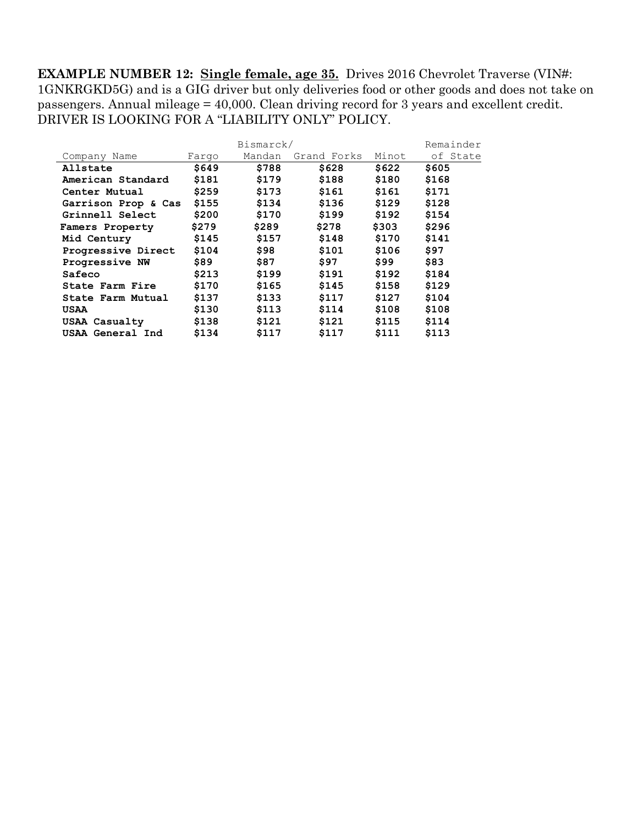**EXAMPLE NUMBER 12: Single female, age 35.** Drives 2016 Chevrolet Traverse (VIN#: 1GNKRGKD5G) and is a GIG driver but only deliveries food or other goods and does not take on passengers. Annual mileage = 40,000. Clean driving record for 3 years and excellent credit. DRIVER IS LOOKING FOR A "LIABILITY ONLY" POLICY.

|                     |       | Remainder |             |       |          |
|---------------------|-------|-----------|-------------|-------|----------|
| Company Name        | Farqo | Mandan    | Grand Forks | Minot | of State |
| Allstate            | \$649 | \$788     | \$628       | \$622 | \$605    |
| American Standard   | \$181 | \$179     | \$188       | \$180 | \$168    |
| Center Mutual       | \$259 | \$173     | \$161       | \$161 | \$171    |
| Garrison Prop & Cas | \$155 | \$134     | \$136       | \$129 | \$128    |
| Grinnell Select     | \$200 | \$170     | \$199       | \$192 | \$154    |
| Famers Property     | \$279 | \$289     | \$278       | \$303 | \$296    |
| Mid Century         | \$145 | \$157     | \$148       | \$170 | \$141    |
| Progressive Direct  | \$104 | \$98      | \$101       | \$106 | \$97     |
| Progressive NW      | \$89  | \$87      | \$97        | \$99  | \$83     |
| Safeco              | \$213 | \$199     | \$191       | \$192 | \$184    |
| State Farm Fire     | \$170 | \$165     | \$145       | \$158 | \$129    |
| State Farm Mutual   | \$137 | \$133     | \$117       | \$127 | \$104    |
| USAA                | \$130 | \$113     | \$114       | \$108 | \$108    |
| USAA Casualty       | \$138 | \$121     | \$121       | \$115 | \$114    |
| USAA General Ind    | \$134 | \$117     | \$117       | \$111 | \$113    |